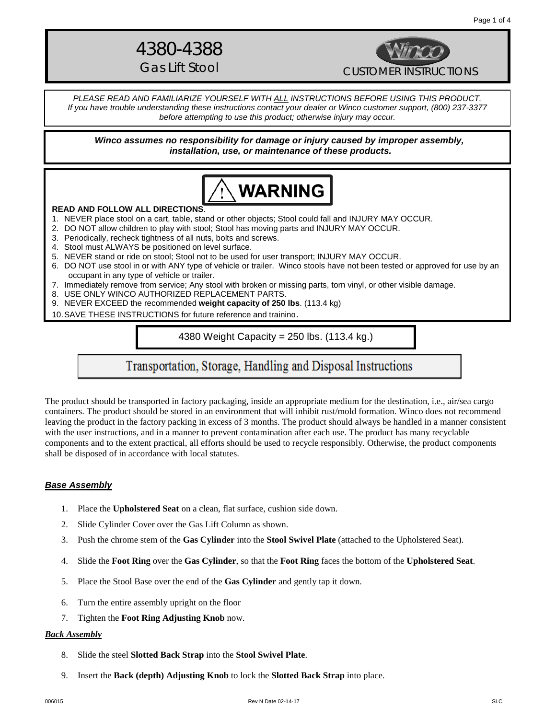# 4380-4388



*PLEASE READ AND FAMILIARIZE YOURSELF WITH ALL INSTRUCTIONS BEFORE USING THIS PRODUCT. If you have trouble understanding these instructions contact your dealer or Winco customer support, (800) 237-3377 before attempting to use this product; otherwise injury may occur.* 

*Winco assumes no responsibility for damage or injury caused by improper assembly, installation, use, or maintenance of these products.*



#### **READ AND FOLLOW ALL DIRECTIONS**.

- 1. NEVER place stool on a cart, table, stand or other objects; Stool could fall and INJURY MAY OCCUR.
- 2. DO NOT allow children to play with stool; Stool has moving parts and INJURY MAY OCCUR.
- 3. Periodically, recheck tightness of all nuts, bolts and screws.
- 4. Stool must ALWAYS be positioned on level surface.
- 5. NEVER stand or ride on stool; Stool not to be used for user transport; INJURY MAY OCCUR.
- 6. DO NOT use stool in or with ANY type of vehicle or trailer. Winco stools have not been tested or approved for use by an occupant in any type of vehicle or trailer.
- 7. Immediately remove from service; Any stool with broken or missing parts, torn vinyl, or other visible damage.
- 8. USE ONLY WINCO AUTHORIZED REPLACEMENT PARTS.
- 9. NEVER EXCEED the recommended **weight capacity of 250 lbs**. (113.4 kg)
- 10.SAVE THESE INSTRUCTIONS for future reference and training.

4380 Weight Capacity = 250 lbs. (113.4 kg.)

# Transportation, Storage, Handling and Disposal Instructions

The product should be transported in factory packaging, inside an appropriate medium for the destination, i.e., air/sea cargo containers. The product should be stored in an environment that will inhibit rust/mold formation. Winco does not recommend leaving the product in the factory packing in excess of 3 months. The product should always be handled in a manner consistent with the user instructions, and in a manner to prevent contamination after each use. The product has many recyclable components and to the extent practical, all efforts should be used to recycle responsibly. Otherwise, the product components shall be disposed of in accordance with local statutes.

#### *Base Assembly*

- 1. Place the **Upholstered Seat** on a clean, flat surface, cushion side down.
- 2. Slide Cylinder Cover over the Gas Lift Column as shown.
- 3. Push the chrome stem of the **Gas Cylinder** into the **Stool Swivel Plate** (attached to the Upholstered Seat).
- 4. Slide the **Foot Ring** over the **Gas Cylinder**, so that the **Foot Ring** faces the bottom of the **Upholstered Seat**.
- 5. Place the Stool Base over the end of the **Gas Cylinder** and gently tap it down.
- 6. Turn the entire assembly upright on the floor
- 7. Tighten the **Foot Ring Adjusting Knob** now.

#### *Back Assembly*

- 8. Slide the steel **Slotted Back Strap** into the **Stool Swivel Plate**.
- 9. Insert the **Back (depth) Adjusting Knob** to lock the **Slotted Back Strap** into place.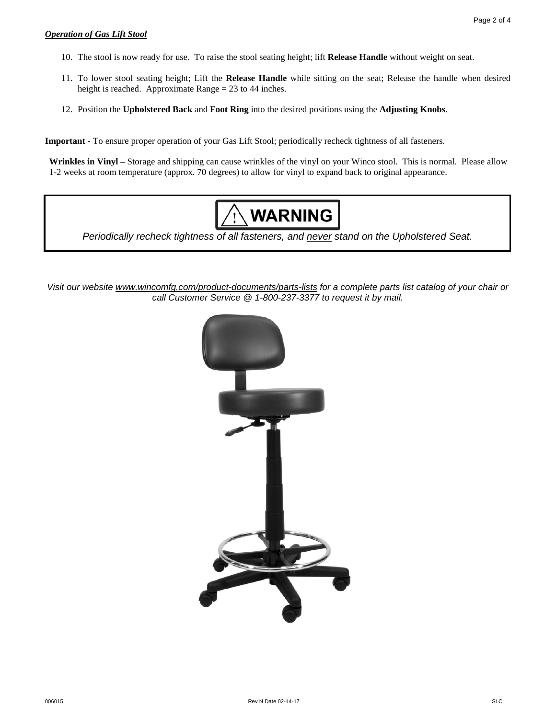#### *Operation of Gas Lift Stool*

- 10. The stool is now ready for use. To raise the stool seating height; lift **Release Handle** without weight on seat.
- 11. To lower stool seating height; Lift the **Release Handle** while sitting on the seat; Release the handle when desired height is reached. Approximate Range = 23 to 44 inches.
- 12. Position the **Upholstered Back** and **Foot Ring** into the desired positions using the **Adjusting Knobs**.

**Important -** To ensure proper operation of your Gas Lift Stool; periodically recheck tightness of all fasteners.

**Wrinkles in Vinyl –** Storage and shipping can cause wrinkles of the vinyl on your Winco stool. This is normal. Please allow 1-2 weeks at room temperature (approx. 70 degrees) to allow for vinyl to expand back to original appearance.



*Periodically recheck tightness of all fasteners, and never stand on the Upholstered Seat.*

*Visit our website www.wincomfg.com/product-documents/parts-lists for a complete parts list catalog of your chair or call Customer Service @ 1-800-237-3377 to request it by mail.*

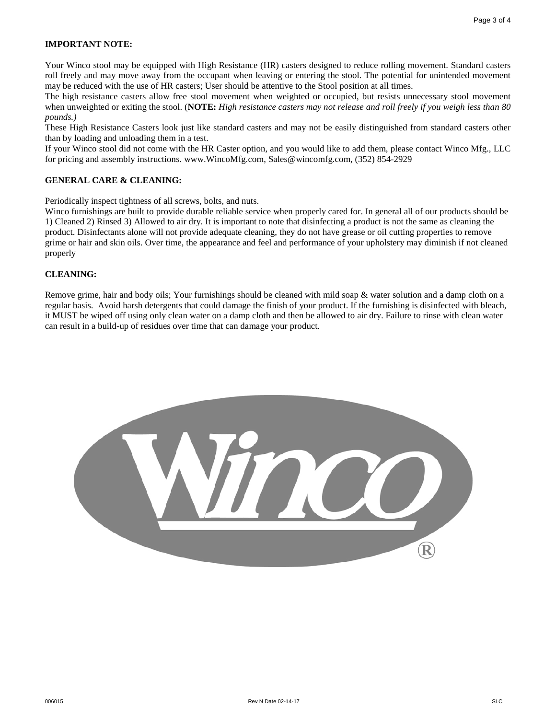#### **IMPORTANT NOTE:**

Your Winco stool may be equipped with High Resistance (HR) casters designed to reduce rolling movement. Standard casters roll freely and may move away from the occupant when leaving or entering the stool. The potential for unintended movement may be reduced with the use of HR casters; User should be attentive to the Stool position at all times.

The high resistance casters allow free stool movement when weighted or occupied, but resists unnecessary stool movement when unweighted or exiting the stool. (**NOTE:** *High resistance casters may not release and roll freely if you weigh less than 80 pounds.)*

These High Resistance Casters look just like standard casters and may not be easily distinguished from standard casters other than by loading and unloading them in a test.

If your Winco stool did not come with the HR Caster option, and you would like to add them, please contact Winco Mfg., LLC for pricing and assembly instructions. www.WincoMfg.com, Sales@wincomfg.com, (352) 854-2929

#### **GENERAL CARE & CLEANING:**

Periodically inspect tightness of all screws, bolts, and nuts.

Winco furnishings are built to provide durable reliable service when properly cared for. In general all of our products should be 1) Cleaned 2) Rinsed 3) Allowed to air dry. It is important to note that disinfecting a product is not the same as cleaning the product. Disinfectants alone will not provide adequate cleaning, they do not have grease or oil cutting properties to remove grime or hair and skin oils. Over time, the appearance and feel and performance of your upholstery may diminish if not cleaned properly

#### **CLEANING:**

Remove grime, hair and body oils; Your furnishings should be cleaned with mild soap & water solution and a damp cloth on a regular basis. Avoid harsh detergents that could damage the finish of your product. If the furnishing is disinfected with bleach, it MUST be wiped off using only clean water on a damp cloth and then be allowed to air dry. Failure to rinse with clean water can result in a build-up of residues over time that can damage your product.